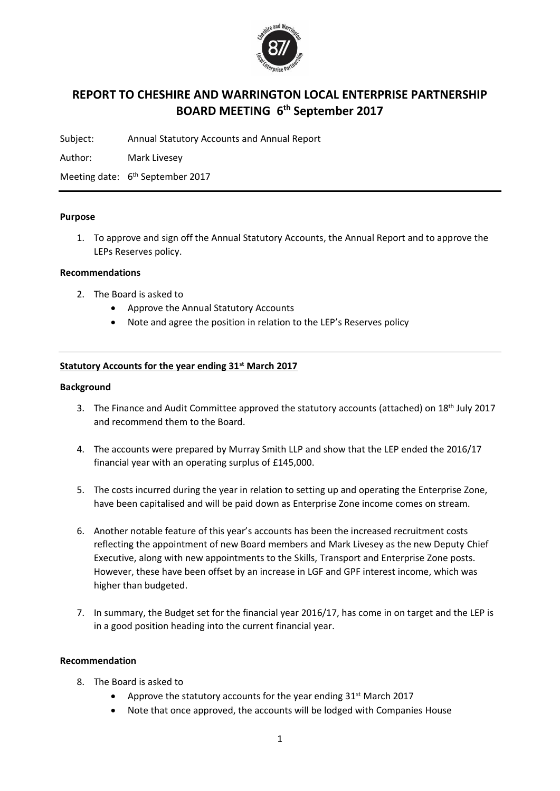

# **REPORT TO CHESHIRE AND WARRINGTON LOCAL ENTERPRISE PARTNERSHIP BOARD MEETING 6 th September 2017**

Subject: Annual Statutory Accounts and Annual Report

Author: Mark Livesey

Meeting date: 6<sup>th</sup> September 2017

#### **Purpose**

1. To approve and sign off the Annual Statutory Accounts, the Annual Report and to approve the LEPs Reserves policy.

#### **Recommendations**

- 2. The Board is asked to
	- Approve the Annual Statutory Accounts
	- Note and agree the position in relation to the LEP's Reserves policy

### **Statutory Accounts for the year ending 31st March 2017**

#### **Background**

- 3. The Finance and Audit Committee approved the statutory accounts (attached) on 18th July 2017 and recommend them to the Board.
- 4. The accounts were prepared by Murray Smith LLP and show that the LEP ended the 2016/17 financial year with an operating surplus of £145,000.
- 5. The costs incurred during the year in relation to setting up and operating the Enterprise Zone, have been capitalised and will be paid down as Enterprise Zone income comes on stream.
- 6. Another notable feature of this year's accounts has been the increased recruitment costs reflecting the appointment of new Board members and Mark Livesey as the new Deputy Chief Executive, along with new appointments to the Skills, Transport and Enterprise Zone posts. However, these have been offset by an increase in LGF and GPF interest income, which was higher than budgeted.
- 7. In summary, the Budget set for the financial year 2016/17, has come in on target and the LEP is in a good position heading into the current financial year.

#### **Recommendation**

- 8. The Board is asked to
	- Approve the statutory accounts for the year ending  $31<sup>st</sup>$  March 2017
	- Note that once approved, the accounts will be lodged with Companies House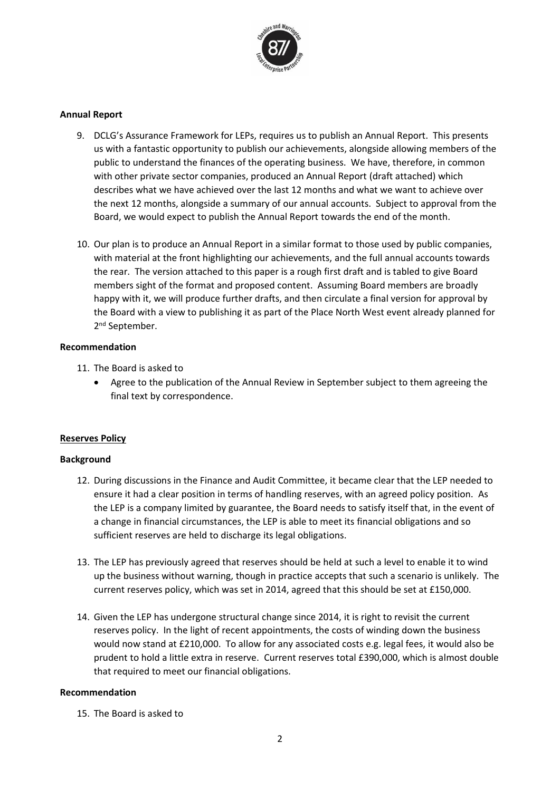

#### **Annual Report**

- 9. DCLG's Assurance Framework for LEPs, requires us to publish an Annual Report. This presents us with a fantastic opportunity to publish our achievements, alongside allowing members of the public to understand the finances of the operating business. We have, therefore, in common with other private sector companies, produced an Annual Report (draft attached) which describes what we have achieved over the last 12 months and what we want to achieve over the next 12 months, alongside a summary of our annual accounts. Subject to approval from the Board, we would expect to publish the Annual Report towards the end of the month.
- 10. Our plan is to produce an Annual Report in a similar format to those used by public companies, with material at the front highlighting our achievements, and the full annual accounts towards the rear. The version attached to this paper is a rough first draft and is tabled to give Board members sight of the format and proposed content. Assuming Board members are broadly happy with it, we will produce further drafts, and then circulate a final version for approval by the Board with a view to publishing it as part of the Place North West event already planned for 2<sup>nd</sup> September.

#### **Recommendation**

- 11. The Board is asked to
	- Agree to the publication of the Annual Review in September subject to them agreeing the final text by correspondence.

## **Reserves Policy**

#### **Background**

- 12. During discussions in the Finance and Audit Committee, it became clear that the LEP needed to ensure it had a clear position in terms of handling reserves, with an agreed policy position. As the LEP is a company limited by guarantee, the Board needs to satisfy itself that, in the event of a change in financial circumstances, the LEP is able to meet its financial obligations and so sufficient reserves are held to discharge its legal obligations.
- 13. The LEP has previously agreed that reserves should be held at such a level to enable it to wind up the business without warning, though in practice accepts that such a scenario is unlikely. The current reserves policy, which was set in 2014, agreed that this should be set at £150,000.
- 14. Given the LEP has undergone structural change since 2014, it is right to revisit the current reserves policy. In the light of recent appointments, the costs of winding down the business would now stand at £210,000. To allow for any associated costs e.g. legal fees, it would also be prudent to hold a little extra in reserve. Current reserves total £390,000, which is almost double that required to meet our financial obligations.

#### **Recommendation**

15. The Board is asked to